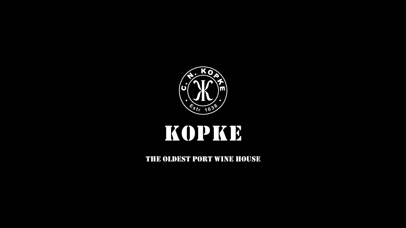

### KOPKB

THE OLDEST PORT WINE HOUSE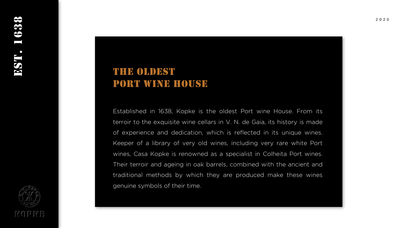#### THE OLDEST PORT WINE HOUSE

Established in 1638, Kopke is the oldest Port wine House. From its terroir to the exquisite wine cellars in V. N. de Gaia, its history is made of experience and dedication, which is reflected in its unique wines. Keeper of a library of very old wines, including very rare white Port wines, Cas a Kopke is renowned as a specialist in Colheita Port wines. Their terroir and ageing in oak barrels, combined with the ancient and traditional methods by which they are produced make these wines genuine symbols of their time.

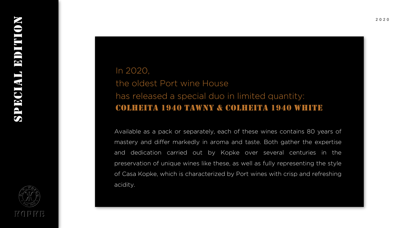

#### In 2020, the oldest Port wine House has released a special duo in limited quantity: Colheita 1940 Tawny & Colheita 1940 White

Available as a pack or separately, each of these wines contains 80 years of mastery and differ markedly in aroma and taste. Both gather the expertise and dedication carried out by Kopke over several centuries in the preservation of unique wines like these, as well as fully representing the style of Casa Kopke, which is characterized by Port wines with crisp and refreshing acidity.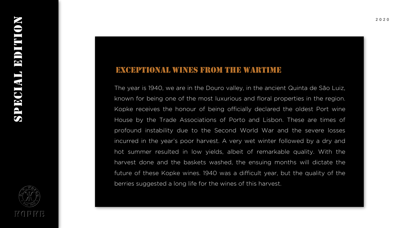#### Exceptional wines from the wartime

The year is 1940, we are in the Douro valley, in the ancient Quinta de São Luiz, known for being one of the most luxurious and floral properties in the region. Kopke receives the honour of being officially declared the oldest Port wine House by the Trade Associations of Porto and Lisbon. These are times of profound instability due to the Second World War and the severe losses incurred in the year's poor harvest. A very wet winter followed by a dry and hot summer resulted in low yields, albeit of remarkable quality. With the harvest done and the baskets washed, the ensuing months will dictate the future of these Kopke wines. 1940 was a difficult year, but the quality of the berries suggested a long life for the wines of this harvest.

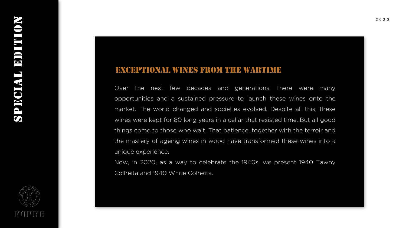#### Exceptional wines from the wartime

Over the next few decades and generations, there were many opportunities and a sustained pressure to launch these wines onto the market. The world changed and societies evolved. Despite all this, these wines were kept for 80 long years in a cellar that resisted time. But all good things come to those who wait. That patience, together with the terroir and the mastery of ageing wines in wood have transformed these wines into a unique experience.

Now, in 2020, as a way to celebrate the 1940s, we present 1940 Tawny Colheita and 1940 White Colheita.

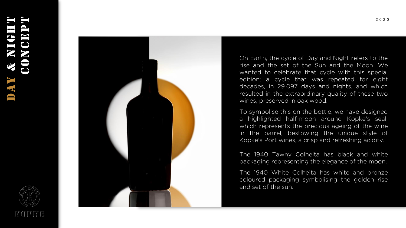# DAY & NIGHT CONCEPT





On Earth, the cycle of Day and Night refers to the rise and the set of the Sun and the Moon. We wanted to celebrate that cycle with this special edition; a cycle that was repeated for eight decades, in 29.097 days and nights, and which resulted in the extraordinary quality of these two wines, preserved in oak wood.

To symbolise this on the bottle, we have designed a highlighted half-moon around Kopke's seal, which represents the precious ageing of the wine in the barrel, bestowing the unique style of Kopke's Port wines, a crisp and refreshing acidity.

The 1940 Tawny Colheita has black and white packaging representing the elegance of the moon.

The 1940 White Colheita has white and bronze coloured packaging symbolising the golden rise and set of the sun.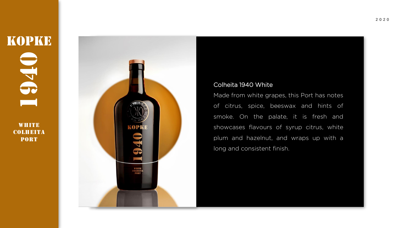**WHITE** COLHEITA **PORT** 



#### Colheita 1940 White

Made from white grapes, this Port has notes of citrus, spice, beeswax and hints of smoke. On the palate, it is fresh and showcases flavours of syrup citrus, white plum and hazelnut, and wraps up with a long and consistent finish.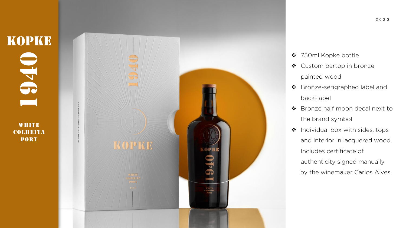## KOPKE  $0.170$ **PORT**<br>PORT

**WHITE** COLHEITA

**PORT** 

KOPKE

❖ 750ml Kopke bottle

- ❖ Custom bartop in bronze painted wood
- ❖ Bronze -serigraphed label and back -label
- ❖ Bronze half moon decal next to the brand symbol
- ❖ Individual box with sides, tops and interior in lacquered wood. Includes certificate of authenticity signed manually by the winemaker Carlos Alves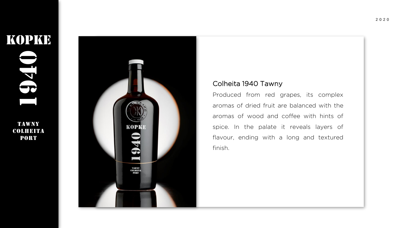## **KOPKE** 1941<br>1941<br>1941

TAWNY COLHEITA PORT



#### Colheita 1940 Tawny

Produced from red grapes, its complex aromas of dried fruit are balanced with the aromas of wood and coffee with hints of spice. In the palate it reveals layers of flavour, ending with a long and textured finish.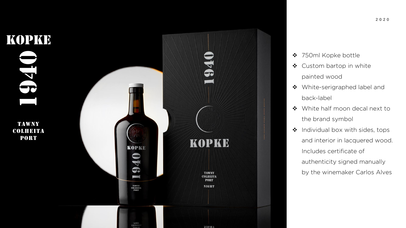

- ❖ 750ml Kopke bottle
- ❖ Custom bartop in white painted wood
- ❖ White -serigraphed label and back -label
- ❖ White half moon decal next to the brand symbol
- ❖ Individual box with sides, tops and interior in lacquered wood. Includes certificate of authenticity signed manually by the winemaker Carlos Alves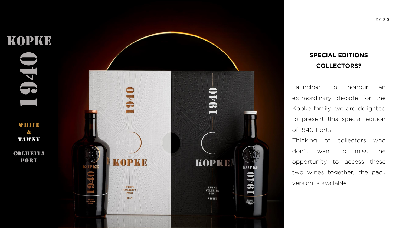

#### **SPECIAL EDITIONS COLLECTORS?**

Launched to honour an extraordinary decade for the Kopke family, we are delighted to present this special edition of 1940 Ports.

Thinking of collectors who don ´ to miss the opportunity to access these two wines together, the pack version is available.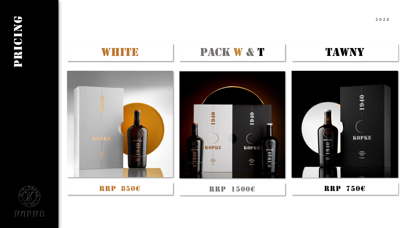

KOLUS